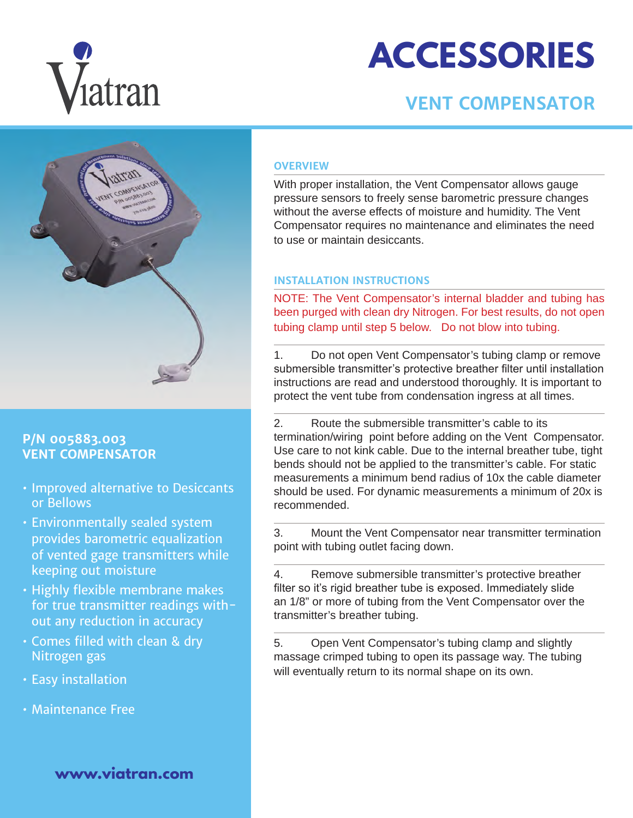

# **ACCESSORIES**

## **VENT COMPENSATOR**



### **P/N 005883.003 VENT COMPENSATOR**

- Improved alternative to Desiccants or Bellows
- Environmentally sealed system provides barometric equalization of vented gage transmitters while keeping out moisture
- Highly flexible membrane makes for true transmitter readings without any reduction in accuracy
- Comes filled with clean & dry Nitrogen gas
- Easy installation
- Maintenance Free

**www.viatran.com**

#### **OVERVIEW**

With proper installation, the Vent Compensator allows gauge pressure sensors to freely sense barometric pressure changes without the averse effects of moisture and humidity. The Vent Compensator requires no maintenance and eliminates the need to use or maintain desiccants.

#### **INSTALLATION INSTRUCTIONS**

NOTE: The Vent Compensator's internal bladder and tubing has been purged with clean dry Nitrogen. For best results, do not open tubing clamp until step 5 below. Do not blow into tubing.

1. Do not open Vent Compensator's tubing clamp or remove submersible transmitter's protective breather filter until installation instructions are read and understood thoroughly. It is important to protect the vent tube from condensation ingress at all times.

2. Route the submersible transmitter's cable to its termination/wiring point before adding on the Vent Compensator. Use care to not kink cable. Due to the internal breather tube, tight bends should not be applied to the transmitter's cable. For static measurements a minimum bend radius of 10x the cable diameter should be used. For dynamic measurements a minimum of 20x is recommended.

3. Mount the Vent Compensator near transmitter termination point with tubing outlet facing down.

4. Remove submersible transmitter's protective breather filter so it's rigid breather tube is exposed. Immediately slide an 1/8" or more of tubing from the Vent Compensator over the transmitter's breather tubing.

5. Open Vent Compensator's tubing clamp and slightly massage crimped tubing to open its passage way. The tubing will eventually return to its normal shape on its own.